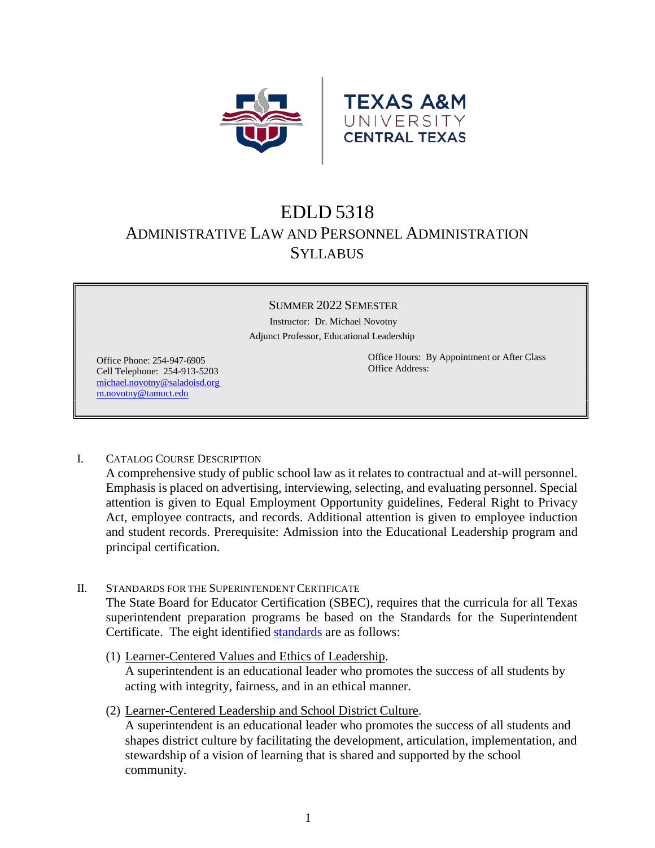

# EDLD 5318 ADMINISTRATIVE LAW AND PERSONNEL ADMINISTRATION **SYLLABUS**

#### SUMMER 2022 SEMESTER

 Instructor: Dr. Michael Novotny Adjunct Professor, Educational Leadership

Office Phone: 254-947-6905 Cell Telephone: 254-913-5203 [michael.novotny@saladoisd.org](mailto:michael.novotny@saladoisd.org%20m.novotny@tamuct.edu)  [m.novotny@tamuct.edu](mailto:michael.novotny@saladoisd.org%20m.novotny@tamuct.edu)

Office Hours: By Appointment or After Class Office Address:

I. CATALOG COURSE DESCRIPTION

A comprehensive study of public school law as it relates to contractual and at-will personnel. Emphasis is placed on advertising, interviewing, selecting, and evaluating personnel. Special attention is given to Equal Employment Opportunity guidelines, Federal Right to Privacy Act, employee contracts, and records. Additional attention is given to employee induction and student records. Prerequisite: Admission into the Educational Leadership program and principal certification.

- II. STANDARDS FOR THE SUPERINTENDENT CERTIFICATE The State Board for Educator Certification (SBEC), requires that the curricula for all Texas superintendent preparation programs be based on the Standards for the Superintendent Certificate. The eight identified [standards](https://tea.texas.gov/sites/default/files/ch242.pdf) are as follows:
	- (1) Learner-Centered Values and Ethics of Leadership. A superintendent is an educational leader who promotes the success of all students by acting with integrity, fairness, and in an ethical manner.
	- (2) Learner-Centered Leadership and School District Culture. A superintendent is an educational leader who promotes the success of all students and shapes district culture by facilitating the development, articulation, implementation, and stewardship of a vision of learning that is shared and supported by the school community.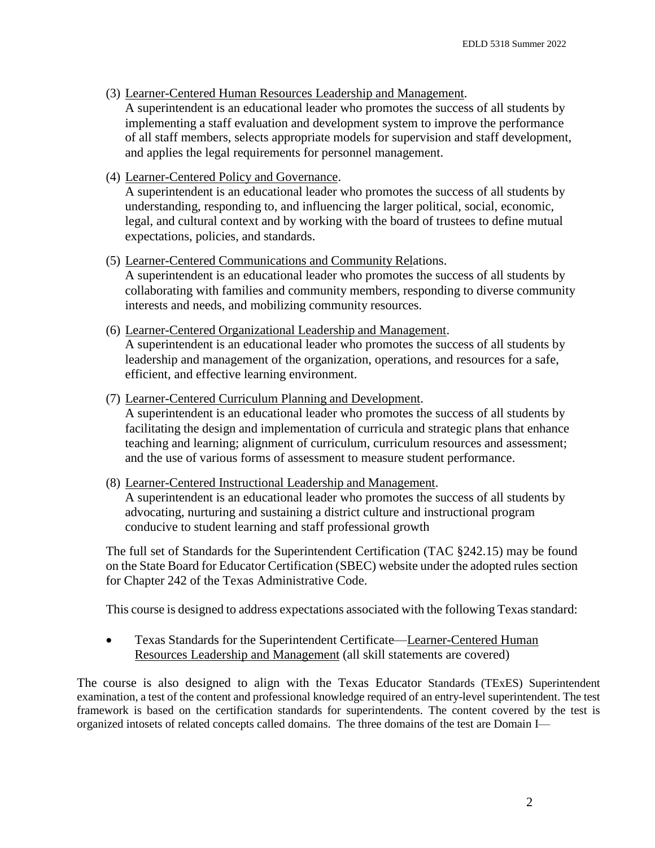(3) Learner-Centered Human Resources Leadership and Management.

A superintendent is an educational leader who promotes the success of all students by implementing a staff evaluation and development system to improve the performance of all staff members, selects appropriate models for supervision and staff development, and applies the legal requirements for personnel management.

(4) Learner-Centered Policy and Governance.

A superintendent is an educational leader who promotes the success of all students by understanding, responding to, and influencing the larger political, social, economic, legal, and cultural context and by working with the board of trustees to define mutual expectations, policies, and standards.

(5) Learner-Centered Communications and Community Relations.

A superintendent is an educational leader who promotes the success of all students by collaborating with families and community members, responding to diverse community interests and needs, and mobilizing community resources.

(6) Learner-Centered Organizational Leadership and Management.

A superintendent is an educational leader who promotes the success of all students by leadership and management of the organization, operations, and resources for a safe, efficient, and effective learning environment.

(7) Learner-Centered Curriculum Planning and Development.

A superintendent is an educational leader who promotes the success of all students by facilitating the design and implementation of curricula and strategic plans that enhance teaching and learning; alignment of curriculum, curriculum resources and assessment; and the use of various forms of assessment to measure student performance.

(8) Learner-Centered Instructional Leadership and Management.

A superintendent is an educational leader who promotes the success of all students by advocating, nurturing and sustaining a district culture and instructional program conducive to student learning and staff professional growth

The full set of Standards for the Superintendent Certification (TAC §242.15) may be found on the State Board for Educator Certification (SBEC) website under the adopted rules section for Chapter 242 of the Texas Administrative Code.

This course is designed to address expectations associated with the following Texas standard:

• Texas Standards for the Superintendent Certificate—Learner-Centered Human Resources Leadership and Management (all skill statements are covered)

The course is also designed to align with the Texas Educator Standards (TExES) Superintendent examination, a test of the content and professional knowledge required of an entry-level superintendent. The test framework is based on the certification standards for superintendents. The content covered by the test is organized intosets of related concepts called domains. The three domains of the test are Domain I—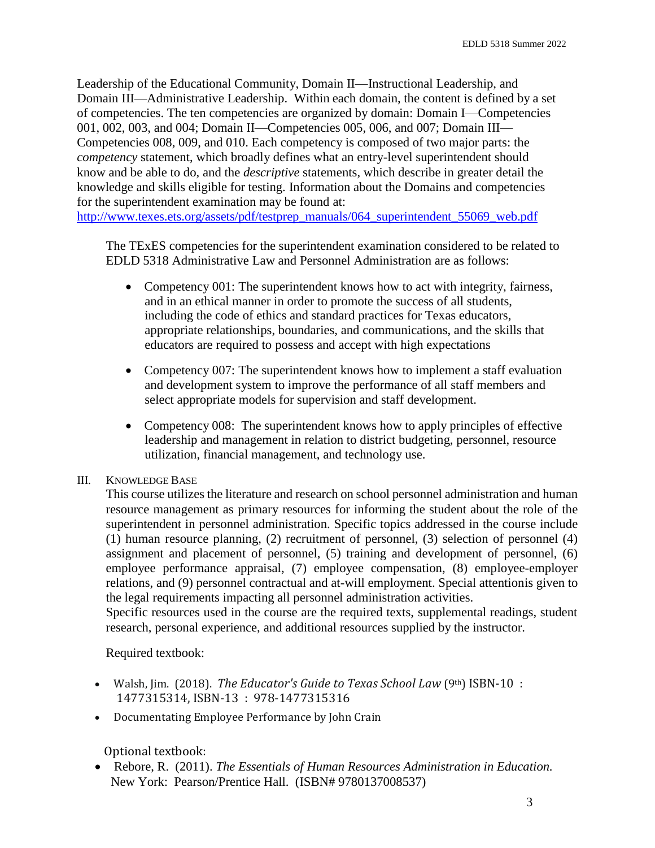Leadership of the Educational Community, Domain II—Instructional Leadership, and Domain III—Administrative Leadership. Within each domain, the content is defined by a set of competencies. The ten competencies are organized by domain: Domain I—Competencies 001, 002, 003, and 004; Domain II—Competencies 005, 006, and 007; Domain III— Competencies 008, 009, and 010. Each competency is composed of two major parts: the *competency* statement, which broadly defines what an entry-level superintendent should know and be able to do, and the *descriptive* statements, which describe in greater detail the knowledge and skills eligible for testing. Information about the Domains and competencies for the superintendent examination may be found at:

[http://www.texes.ets.org/assets/pdf/testprep\\_manuals/064\\_superintendent\\_55069\\_web.pdf](http://www.texes.ets.org/assets/pdf/testprep_manuals/064_superintendent_55069_web.pdf)

The TExES competencies for the superintendent examination considered to be related to EDLD 5318 Administrative Law and Personnel Administration are as follows:

- Competency 001: The superintendent knows how to act with integrity, fairness, and in an ethical manner in order to promote the success of all students, including the code of ethics and standard practices for Texas educators, appropriate relationships, boundaries, and communications, and the skills that educators are required to possess and accept with high expectations
- Competency 007: The superintendent knows how to implement a staff evaluation and development system to improve the performance of all staff members and select appropriate models for supervision and staff development.
- Competency 008: The superintendent knows how to apply principles of effective leadership and management in relation to district budgeting, personnel, resource utilization, financial management, and technology use.
- III. KNOWLEDGE BASE

This course utilizes the literature and research on school personnel administration and human resource management as primary resources for informing the student about the role of the superintendent in personnel administration. Specific topics addressed in the course include (1) human resource planning, (2) recruitment of personnel, (3) selection of personnel (4) assignment and placement of personnel, (5) training and development of personnel, (6) employee performance appraisal, (7) employee compensation, (8) employee-employer relations, and (9) personnel contractual and at-will employment. Special attentionis given to the legal requirements impacting all personnel administration activities.

Specific resources used in the course are the required texts, supplemental readings, student research, personal experience, and additional resources supplied by the instructor.

Required textbook:

- Walsh, Jim. (2018). *The Educator's Guide to Texas School Law* (9th) ISBN-10: 1477315314, ISBN-13 : 978-1477315316
- Documentating Employee Performance by John Crain

Optional textbook:

 Rebore, R. (2011). *The Essentials of Human Resources Administration in Education.* New York: Pearson/Prentice Hall. (ISBN# 9780137008537)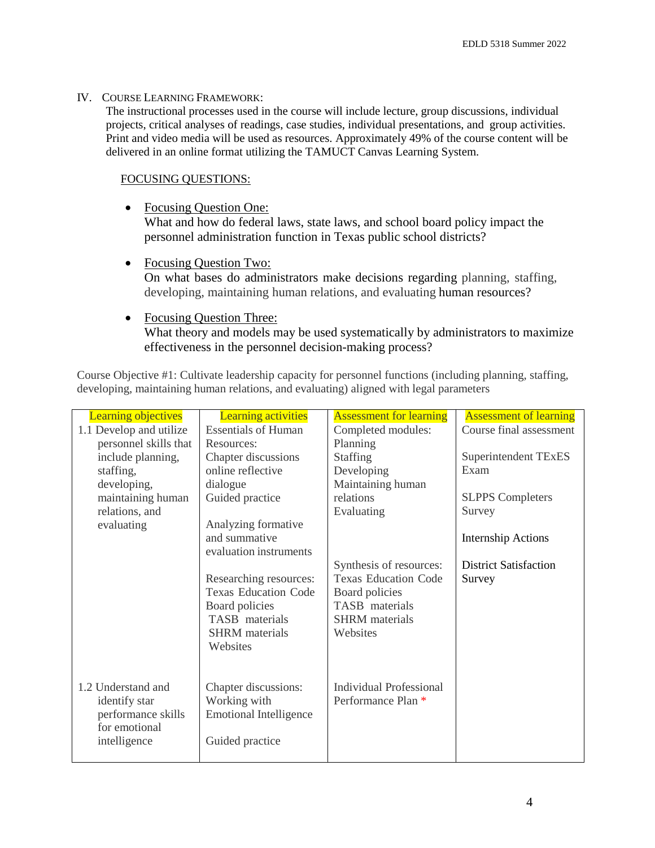### IV. COURSE LEARNING FRAMEWORK:

The instructional processes used in the course will include lecture, group discussions, individual projects, critical analyses of readings, case studies, individual presentations, and group activities. Print and video media will be used as resources. Approximately 49% of the course content will be delivered in an online format utilizing the TAMUCT Canvas Learning System.

## FOCUSING QUESTIONS:

• Focusing Question One:

What and how do federal laws, state laws, and school board policy impact the personnel administration function in Texas public school districts?

• Focusing Question Two:

On what bases do administrators make decisions regarding planning, staffing, developing, maintaining human relations, and evaluating human resources?

• Focusing Question Three: What theory and models may be used systematically by administrators to maximize effectiveness in the personnel decision-making process?

Course Objective #1: Cultivate leadership capacity for personnel functions (including planning, staffing, developing, maintaining human relations, and evaluating) aligned with legal parameters

| <b>Learning objectives</b> | <b>Learning activities</b>    | <b>Assessment for learning</b> | <b>Assessment of learning</b> |
|----------------------------|-------------------------------|--------------------------------|-------------------------------|
| 1.1 Develop and utilize    | <b>Essentials of Human</b>    | Completed modules:             | Course final assessment       |
| personnel skills that      | Resources:                    | Planning                       |                               |
| include planning,          | Chapter discussions           | <b>Staffing</b>                | Superintendent TExES          |
| staffing,                  | online reflective             | Developing                     | Exam                          |
| developing,                | dialogue                      | Maintaining human              |                               |
| maintaining human          | Guided practice               | relations                      | <b>SLPPS</b> Completers       |
| relations, and             |                               | Evaluating                     | Survey                        |
| evaluating                 | Analyzing formative           |                                |                               |
|                            | and summative                 |                                | <b>Internship Actions</b>     |
|                            | evaluation instruments        |                                |                               |
|                            |                               | Synthesis of resources:        | <b>District Satisfaction</b>  |
|                            | Researching resources:        | <b>Texas Education Code</b>    | Survey                        |
|                            | <b>Texas Education Code</b>   | Board policies                 |                               |
|                            | Board policies                | TASB materials                 |                               |
|                            | TASB materials                | <b>SHRM</b> materials          |                               |
|                            | <b>SHRM</b> materials         | Websites                       |                               |
|                            | Websites                      |                                |                               |
|                            |                               |                                |                               |
|                            |                               |                                |                               |
| 1.2 Understand and         | Chapter discussions:          | <b>Individual Professional</b> |                               |
| identify star              | Working with                  | Performance Plan *             |                               |
| performance skills         | <b>Emotional Intelligence</b> |                                |                               |
| for emotional              |                               |                                |                               |
| intelligence               | Guided practice               |                                |                               |
|                            |                               |                                |                               |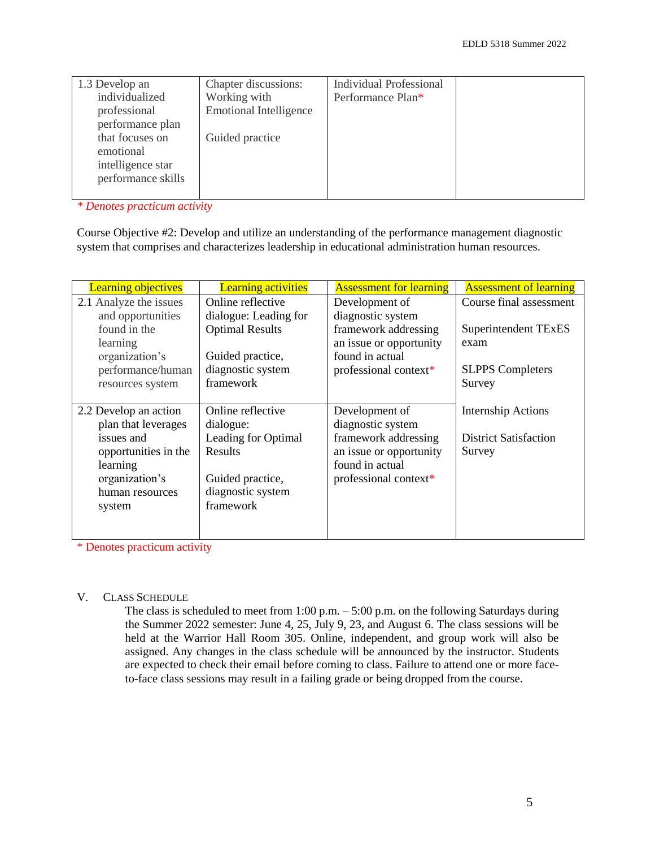| 1.3 Develop an     | Chapter discussions:          | <b>Individual Professional</b> |  |
|--------------------|-------------------------------|--------------------------------|--|
| individualized     | Working with                  | Performance Plan*              |  |
| professional       | <b>Emotional Intelligence</b> |                                |  |
| performance plan   |                               |                                |  |
| that focuses on    | Guided practice               |                                |  |
| emotional          |                               |                                |  |
| intelligence star  |                               |                                |  |
| performance skills |                               |                                |  |
|                    |                               |                                |  |

*\* Denotes practicum activity*

Course Objective #2: Develop and utilize an understanding of the performance management diagnostic system that comprises and characterizes leadership in educational administration human resources.

| <b>Learning objectives</b> | <b>Learning activities</b> | <b>Assessment for learning</b> | <b>Assessment of learning</b> |
|----------------------------|----------------------------|--------------------------------|-------------------------------|
| 2.1 Analyze the issues     | Online reflective          | Development of                 | Course final assessment       |
| and opportunities          | dialogue: Leading for      | diagnostic system              |                               |
| found in the               | <b>Optimal Results</b>     | framework addressing           | Superintendent TExES          |
| learning                   |                            | an issue or opportunity        | exam                          |
| organization's             | Guided practice,           | found in actual                |                               |
| performance/human          | diagnostic system          | professional context*          | <b>SLPPS</b> Completers       |
| resources system           | framework                  |                                | Survey                        |
|                            |                            |                                |                               |
| 2.2 Develop an action      | Online reflective          | Development of                 | <b>Internship Actions</b>     |
| plan that leverages        | dialogue:                  | diagnostic system              |                               |
| issues and                 | Leading for Optimal        | framework addressing           | <b>District Satisfaction</b>  |
| opportunities in the       | Results                    | an issue or opportunity        | Survey                        |
| learning                   |                            | found in actual                |                               |
| organization's             | Guided practice,           | professional context*          |                               |
| human resources            | diagnostic system          |                                |                               |
| system                     | framework                  |                                |                               |
|                            |                            |                                |                               |
|                            |                            |                                |                               |

\* Denotes practicum activity

### V. CLASS SCHEDULE

The class is scheduled to meet from 1:00 p.m. – 5:00 p.m. on the following Saturdays during the Summer 2022 semester: June 4, 25, July 9, 23, and August 6. The class sessions will be held at the Warrior Hall Room 305. Online, independent, and group work will also be assigned. Any changes in the class schedule will be announced by the instructor. Students are expected to check their email before coming to class. Failure to attend one or more faceto-face class sessions may result in a failing grade or being dropped from the course.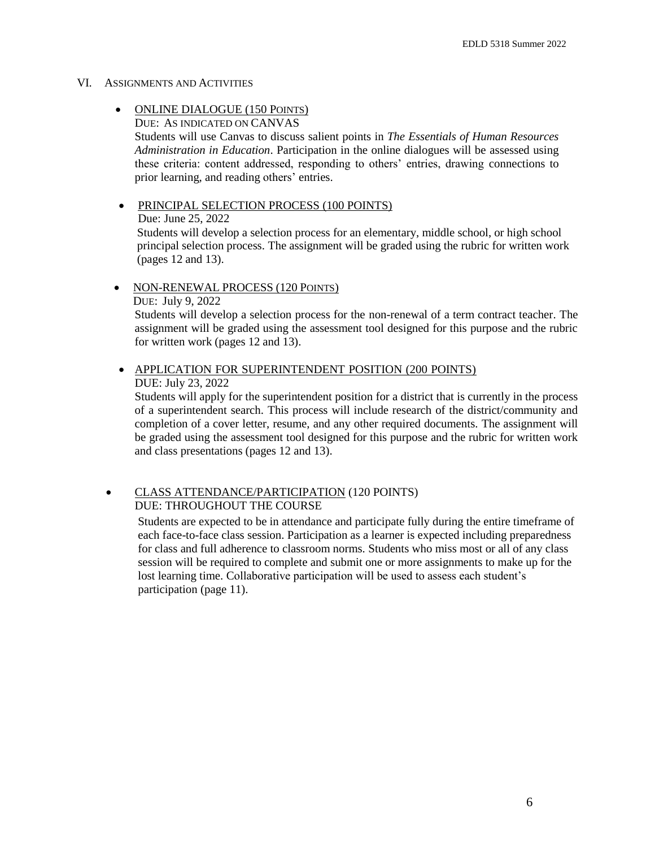#### VI. ASSIGNMENTS AND ACTIVITIES

#### • ONLINE DIALOGUE (150 POINTS) DUE: AS INDICATED ON CANVAS

Students will use Canvas to discuss salient points in *The Essentials of Human Resources Administration in Education*. Participation in the online dialogues will be assessed using these criteria: content addressed, responding to others' entries, drawing connections to prior learning, and reading others' entries.

 PRINCIPAL SELECTION PROCESS (100 POINTS) Due: June 25, 2022 Students will develop a selection process for an elementary, middle school, or high school principal selection process. The assignment will be graded using the rubric for written work (pages 12 and 13).

• NON-RENEWAL PROCESS (120 POINTS) DUE: July 9, 2022 Students will develop a selection process for the non-renewal of a term contract teacher. The assignment will be graded using the assessment tool designed for this purpose and the rubric for written work (pages 12 and 13).

 APPLICATION FOR SUPERINTENDENT POSITION (200 POINTS) DUE: July 23, 2022

Students will apply for the superintendent position for a district that is currently in the process of a superintendent search. This process will include research of the district/community and completion of a cover letter, resume, and any other required documents. The assignment will be graded using the assessment tool designed for this purpose and the rubric for written work and class presentations (pages 12 and 13).

#### CLASS ATTENDANCE/PARTICIPATION (120 POINTS) DUE: THROUGHOUT THE COURSE

Students are expected to be in attendance and participate fully during the entire timeframe of each face-to-face class session. Participation as a learner is expected including preparedness for class and full adherence to classroom norms. Students who miss most or all of any class session will be required to complete and submit one or more assignments to make up for the lost learning time. Collaborative participation will be used to assess each student's participation (page 11).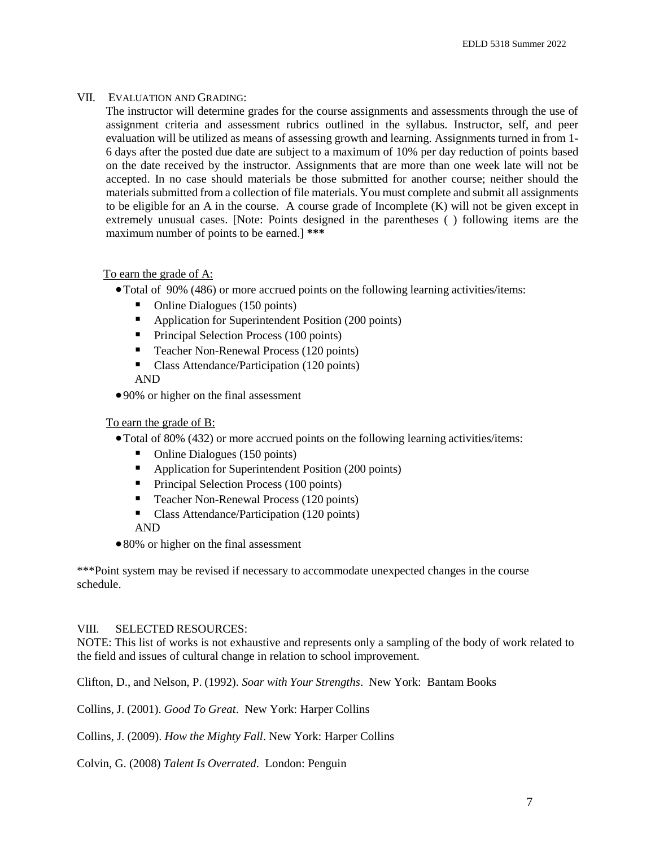### VII. EVALUATION AND GRADING:

The instructor will determine grades for the course assignments and assessments through the use of assignment criteria and assessment rubrics outlined in the syllabus. Instructor, self, and peer evaluation will be utilized as means of assessing growth and learning. Assignments turned in from 1- 6 days after the posted due date are subject to a maximum of 10% per day reduction of points based on the date received by the instructor. Assignments that are more than one week late will not be accepted. In no case should materials be those submitted for another course; neither should the materials submitted from a collection of file materials. You must complete and submit all assignments to be eligible for an A in the course. A course grade of Incomplete (K) will not be given except in extremely unusual cases. [Note: Points designed in the parentheses ( ) following items are the maximum number of points to be earned.] **\*\*\***

## To earn the grade of A:

- Total of 90% (486) or more accrued points on the following learning activities/items:
	- Online Dialogues (150 points)
	- Application for Superintendent Position (200 points)
	- **Principal Selection Process (100 points)**
	- **Teacher Non-Renewal Process (120 points)**
	- Class Attendance/Participation (120 points) AND
- 90% or higher on the final assessment

## To earn the grade of B:

- Total of 80% (432) or more accrued points on the following learning activities/items:
	- Online Dialogues (150 points)
	- Application for Superintendent Position (200 points)
	- **Principal Selection Process (100 points)**
	- Teacher Non-Renewal Process (120 points)
	- Class Attendance/Participation (120 points)

### AND

• 80% or higher on the final assessment

\*\*\*Point system may be revised if necessary to accommodate unexpected changes in the course schedule.

### VIII. SELECTED RESOURCES:

NOTE: This list of works is not exhaustive and represents only a sampling of the body of work related to the field and issues of cultural change in relation to school improvement.

Clifton, D., and Nelson, P. (1992). *Soar with Your Strengths*. New York: Bantam Books

Collins, J. (2001). *Good To Great*. New York: Harper Collins

Collins, J. (2009). *How the Mighty Fall*. New York: Harper Collins

Colvin, G. (2008) *Talent Is Overrated*. London: Penguin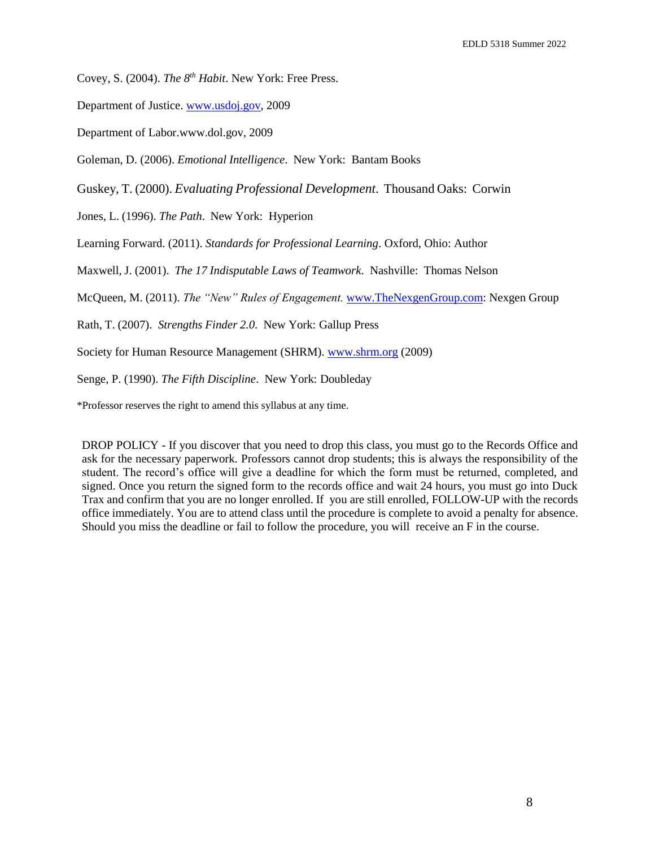Covey, S. (2004). *The 8th Habit*. New York: Free Press.

Department of Justice. [www.usdoj.gov, 2](http://www.usdoj.gov/)009

Department of Labo[r.www.dol.gov,](http://www.dol.gov/) 2009

Goleman, D. (2006). *Emotional Intelligence*. New York: Bantam Books

Guskey, T. (2000). *Evaluating Professional Development*. Thousand Oaks: Corwin

Jones, L. (1996). *The Path*. New York: Hyperion

Learning Forward. (2011). *Standards for Professional Learning*. Oxford, Ohio: Author

Maxwell, J. (2001). *The 17 Indisputable Laws of Teamwork*. Nashville: Thomas Nelson

McQueen, M. (2011). *The "New" Rules of Engagement.* [www.TheNexgenGroup.com:](http://www.thenexgengroup.com/) Nexgen Group

Rath, T. (2007). *Strengths Finder 2.0*. New York: Gallup Press

Society for Human Resource Management (SHRM). [www.shrm.org](http://www.shrm.org/) (2009)

Senge, P. (1990). *The Fifth Discipline*. New York: Doubleday

\*Professor reserves the right to amend this syllabus at any time.

DROP POLICY - If you discover that you need to drop this class, you must go to the Records Office and ask for the necessary paperwork. Professors cannot drop students; this is always the responsibility of the student. The record's office will give a deadline for which the form must be returned, completed, and signed. Once you return the signed form to the records office and wait 24 hours, you must go into Duck Trax and confirm that you are no longer enrolled. If you are still enrolled, FOLLOW-UP with the records office immediately. You are to attend class until the procedure is complete to avoid a penalty for absence. Should you miss the deadline or fail to follow the procedure, you will receive an F in the course.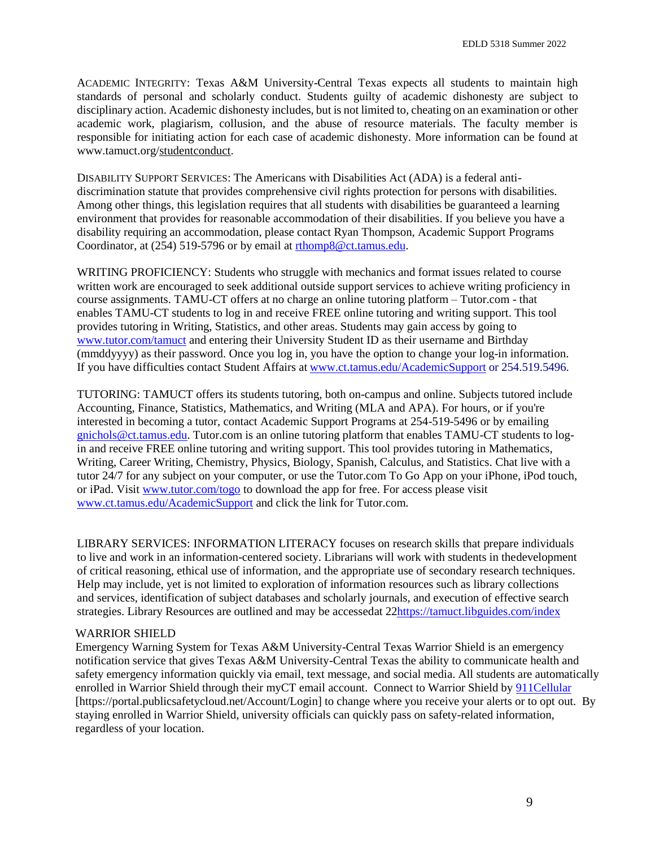ACADEMIC INTEGRITY: Texas A&M University-Central Texas expects all students to maintain high standards of personal and scholarly conduct. Students guilty of academic dishonesty are subject to disciplinary action. Academic dishonesty includes, but is not limited to, cheating on an examination or other academic work, plagiarism, collusion, and the abuse of resource materials. The faculty member is responsible for initiating action for each case of academic dishonesty. More information can be found at [www.tamuct.org/studentconduct.](http://www.tamuct.org/studentconduct)

DISABILITY SUPPORT SERVICES: The Americans with Disabilities Act (ADA) is a federal antidiscrimination statute that provides comprehensive civil rights protection for persons with disabilities. Among other things, this legislation requires that all students with disabilities be guaranteed a learning environment that provides for reasonable accommodation of their disabilities. If you believe you have a disability requiring an accommodation, please contact Ryan Thompson, Academic Support Programs Coordinator, at (254) 519-5796 or by email at [rthomp8@ct.tamus.edu.](mailto:rthomp8@ct.tamus.edu)

WRITING PROFICIENCY: Students who struggle with mechanics and format issues related to course written work are encouraged to seek additional outside support services to achieve writing proficiency in course assignments. TAMU-CT offers at no charge an online tutoring platform – Tutor.com - that enables TAMU-CT students to log in and receive FREE online tutoring and writing support. This tool provides tutoring in Writing, Statistics, and other areas. Students may gain access by going to [www.tutor.com/tamuct](http://lhh.tutor.com/?ProgramGUID=5a189f81-59ba-4874-b989-680468b11476) and entering their University Student ID as their username and Birthday (mmddyyyy) as their password. Once you log in, you have the option to change your log-in information. If you have difficulties contact Student Affairs at [www.ct.tamus.edu/AcademicSupport](http://www.ct.tamus.edu/AcademicSupport) or 254.519.5496.

TUTORING: TAMUCT offers its students tutoring, both on-campus and online. Subjects tutored include Accounting, Finance, Statistics, Mathematics, and Writing (MLA and APA). For hours, or if you're interested in becoming a tutor, contact Academic Support Programs at 254-519-5496 or by emailing [gnichols@ct.tamus.edu. T](mailto:gnichols@ct.tamus.edu)utor.com is an online tutoring platform that enables TAMU-CT students to login and receive FREE online tutoring and writing support. This tool provides tutoring in Mathematics, Writing, Career Writing, Chemistry, Physics, Biology, Spanish, Calculus, and Statistics. Chat live with a tutor 24/7 for any subject on your computer, or use the Tutor.com To Go App on your iPhone, iPod touch, or iPad. Visit [www.tutor.com/togo](http://www.tutor.com/togo) to download the app for free. For access please visit [www.ct.tamus.edu/AcademicSupport](http://www.ct.tamus.edu/AcademicSupport) and click the link for Tutor.com.

LIBRARY SERVICES: INFORMATION LITERACY focuses on research skills that prepare individuals to live and work in an information-centered society. Librarians will work with students in thedevelopment of critical reasoning, ethical use of information, and the appropriate use of secondary research techniques. Help may include, yet is not limited to exploration of information resources such as library collections and services, identification of subject databases and scholarly journals, and execution of effective search strategies. Library Resources are outlined and may be accessedat 2[2https://tamuct.libguides.com/index](https://tamuct.libguides.com/index)

#### WARRIOR SHIELD

Emergency Warning System for Texas A&M University-Central Texas Warrior Shield is an emergency notification service that gives Texas A&M University-Central Texas the ability to communicate health and safety emergency information quickly via email, text message, and social media. All students are automatically enrolled in Warrior Shield through their myCT email account. Connect to Warrior Shield by [911Cellular](https://portal.publicsafetycloud.net/Texas-AM-Central/alert-management) [https://portal.publicsafetycloud.net/Account/Login] to change where you receive your alerts or to opt out. By staying enrolled in Warrior Shield, university officials can quickly pass on safety-related information, regardless of your location.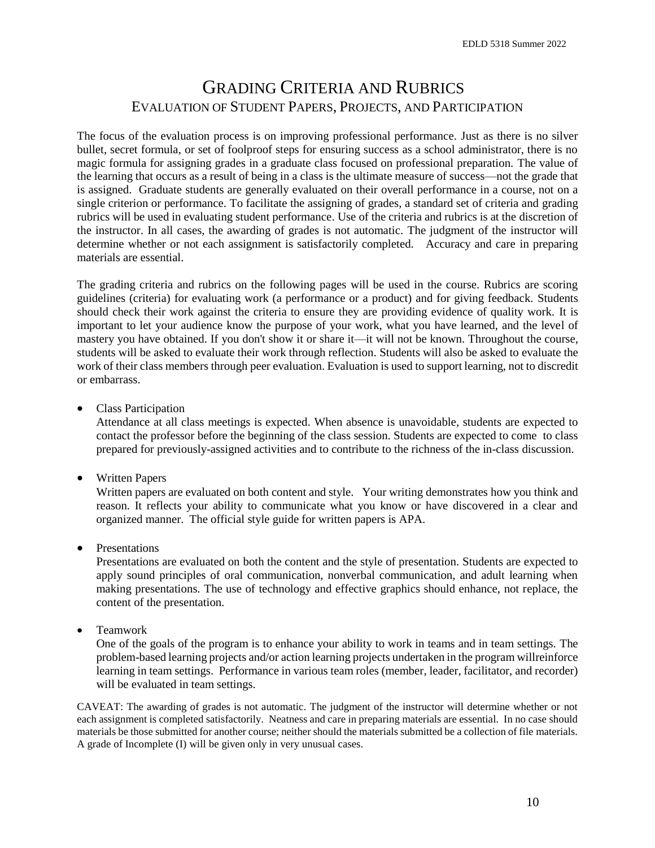## GRADING CRITERIA AND RUBRICS EVALUATION OF STUDENT PAPERS, PROJECTS, AND PARTICIPATION

The focus of the evaluation process is on improving professional performance. Just as there is no silver bullet, secret formula, or set of foolproof steps for ensuring success as a school administrator, there is no magic formula for assigning grades in a graduate class focused on professional preparation. The value of the learning that occurs as a result of being in a class is the ultimate measure of success—not the grade that is assigned. Graduate students are generally evaluated on their overall performance in a course, not on a single criterion or performance. To facilitate the assigning of grades, a standard set of criteria and grading rubrics will be used in evaluating student performance. Use of the criteria and rubrics is at the discretion of the instructor. In all cases, the awarding of grades is not automatic. The judgment of the instructor will determine whether or not each assignment is satisfactorily completed. Accuracy and care in preparing materials are essential.

The grading criteria and rubrics on the following pages will be used in the course. Rubrics are scoring guidelines (criteria) for evaluating work (a performance or a product) and for giving feedback. Students should check their work against the criteria to ensure they are providing evidence of quality work. It is important to let your audience know the purpose of your work, what you have learned, and the level of mastery you have obtained. If you don't show it or share it—it will not be known. Throughout the course, students will be asked to evaluate their work through reflection. Students will also be asked to evaluate the work of their class members through peer evaluation. Evaluation is used to support learning, not to discredit or embarrass.

• Class Participation

Attendance at all class meetings is expected. When absence is unavoidable, students are expected to contact the professor before the beginning of the class session. Students are expected to come to class prepared for previously-assigned activities and to contribute to the richness of the in-class discussion.

Written Papers

Written papers are evaluated on both content and style. Your writing demonstrates how you think and reason. It reflects your ability to communicate what you know or have discovered in a clear and organized manner. The official style guide for written papers is APA.

Presentations

Presentations are evaluated on both the content and the style of presentation. Students are expected to apply sound principles of oral communication, nonverbal communication, and adult learning when making presentations. The use of technology and effective graphics should enhance, not replace, the content of the presentation.

• Teamwork

One of the goals of the program is to enhance your ability to work in teams and in team settings. The problem-based learning projects and/or action learning projects undertaken in the program willreinforce learning in team settings. Performance in various team roles (member, leader, facilitator, and recorder) will be evaluated in team settings.

CAVEAT: The awarding of grades is not automatic. The judgment of the instructor will determine whether or not each assignment is completed satisfactorily. Neatness and care in preparing materials are essential. In no case should materials be those submitted for another course; neither should the materials submitted be a collection of file materials. A grade of Incomplete (I) will be given only in very unusual cases.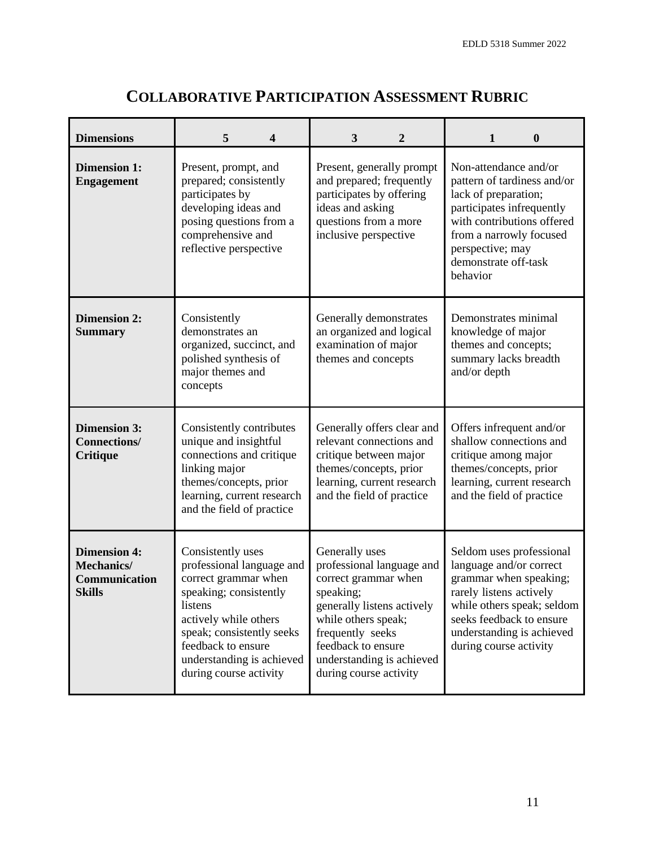| <b>Dimensions</b>                                                          | 5<br>$\overline{\mathbf{4}}$                                                                                                                                                                                                                   | 3<br>$\overline{2}$                                                                                                                                                                                                                    | $\mathbf{1}$<br>$\boldsymbol{0}$                                                                                                                                                                                           |
|----------------------------------------------------------------------------|------------------------------------------------------------------------------------------------------------------------------------------------------------------------------------------------------------------------------------------------|----------------------------------------------------------------------------------------------------------------------------------------------------------------------------------------------------------------------------------------|----------------------------------------------------------------------------------------------------------------------------------------------------------------------------------------------------------------------------|
| <b>Dimension 1:</b><br><b>Engagement</b>                                   | Present, prompt, and<br>prepared; consistently<br>participates by<br>developing ideas and<br>posing questions from a<br>comprehensive and<br>reflective perspective                                                                            | Present, generally prompt<br>and prepared; frequently<br>participates by offering<br>ideas and asking<br>questions from a more<br>inclusive perspective                                                                                | Non-attendance and/or<br>pattern of tardiness and/or<br>lack of preparation;<br>participates infrequently<br>with contributions offered<br>from a narrowly focused<br>perspective; may<br>demonstrate off-task<br>behavior |
| <b>Dimension 2:</b><br><b>Summary</b>                                      | Consistently<br>demonstrates an<br>organized, succinct, and<br>polished synthesis of<br>major themes and<br>concepts                                                                                                                           | Generally demonstrates<br>an organized and logical<br>examination of major<br>themes and concepts                                                                                                                                      | Demonstrates minimal<br>knowledge of major<br>themes and concepts;<br>summary lacks breadth<br>and/or depth                                                                                                                |
| <b>Dimension 3:</b><br><b>Connections/</b><br><b>Critique</b>              | Consistently contributes<br>unique and insightful<br>connections and critique<br>linking major<br>themes/concepts, prior<br>learning, current research<br>and the field of practice                                                            | Generally offers clear and<br>relevant connections and<br>critique between major<br>themes/concepts, prior<br>learning, current research<br>and the field of practice                                                                  | Offers infrequent and/or<br>shallow connections and<br>critique among major<br>themes/concepts, prior<br>learning, current research<br>and the field of practice                                                           |
| <b>Dimension 4:</b><br><b>Mechanics/</b><br>Communication<br><b>Skills</b> | Consistently uses<br>professional language and<br>correct grammar when<br>speaking; consistently<br>listens<br>actively while others<br>speak; consistently seeks<br>feedback to ensure<br>understanding is achieved<br>during course activity | Generally uses<br>professional language and<br>correct grammar when<br>speaking;<br>generally listens actively<br>while others speak;<br>frequently seeks<br>feedback to ensure<br>understanding is achieved<br>during course activity | Seldom uses professional<br>language and/or correct<br>grammar when speaking;<br>rarely listens actively<br>while others speak; seldom<br>seeks feedback to ensure<br>understanding is achieved<br>during course activity  |

# **COLLABORATIVE PARTICIPATION ASSESSMENT RUBRIC**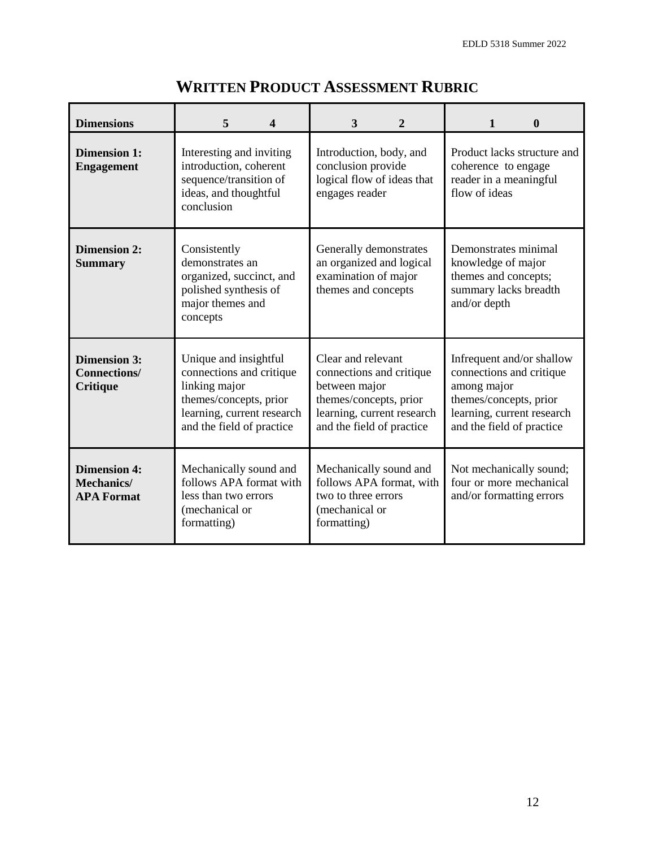| <b>Dimensions</b>                                             | 5<br>$\boldsymbol{4}$                                                                                                                                   | 3<br>$\mathbf{2}$                                                                                                                                    | $\boldsymbol{0}$<br>$\mathbf{1}$                                                                                                                          |
|---------------------------------------------------------------|---------------------------------------------------------------------------------------------------------------------------------------------------------|------------------------------------------------------------------------------------------------------------------------------------------------------|-----------------------------------------------------------------------------------------------------------------------------------------------------------|
| <b>Dimension 1:</b><br><b>Engagement</b>                      | Interesting and inviting<br>introduction, coherent<br>sequence/transition of<br>ideas, and thoughtful<br>conclusion                                     | Introduction, body, and<br>conclusion provide<br>logical flow of ideas that<br>engages reader                                                        | Product lacks structure and<br>coherence to engage<br>reader in a meaningful<br>flow of ideas                                                             |
| <b>Dimension 2:</b><br><b>Summary</b>                         | Consistently<br>demonstrates an<br>organized, succinct, and<br>polished synthesis of<br>major themes and<br>concepts                                    | Generally demonstrates<br>an organized and logical<br>examination of major<br>themes and concepts                                                    | Demonstrates minimal<br>knowledge of major<br>themes and concepts;<br>summary lacks breadth<br>and/or depth                                               |
| <b>Dimension 3:</b><br><b>Connections/</b><br><b>Critique</b> | Unique and insightful<br>connections and critique<br>linking major<br>themes/concepts, prior<br>learning, current research<br>and the field of practice | Clear and relevant<br>connections and critique<br>between major<br>themes/concepts, prior<br>learning, current research<br>and the field of practice | Infrequent and/or shallow<br>connections and critique<br>among major<br>themes/concepts, prior<br>learning, current research<br>and the field of practice |
| <b>Dimension 4:</b><br><b>Mechanics/</b><br><b>APA Format</b> | Mechanically sound and<br>follows APA format with<br>less than two errors<br>(mechanical or<br>formatting)                                              | Mechanically sound and<br>follows APA format, with<br>two to three errors<br>(mechanical or<br>formatting)                                           | Not mechanically sound;<br>four or more mechanical<br>and/or formatting errors                                                                            |

# **WRITTEN PRODUCT ASSESSMENT RUBRIC**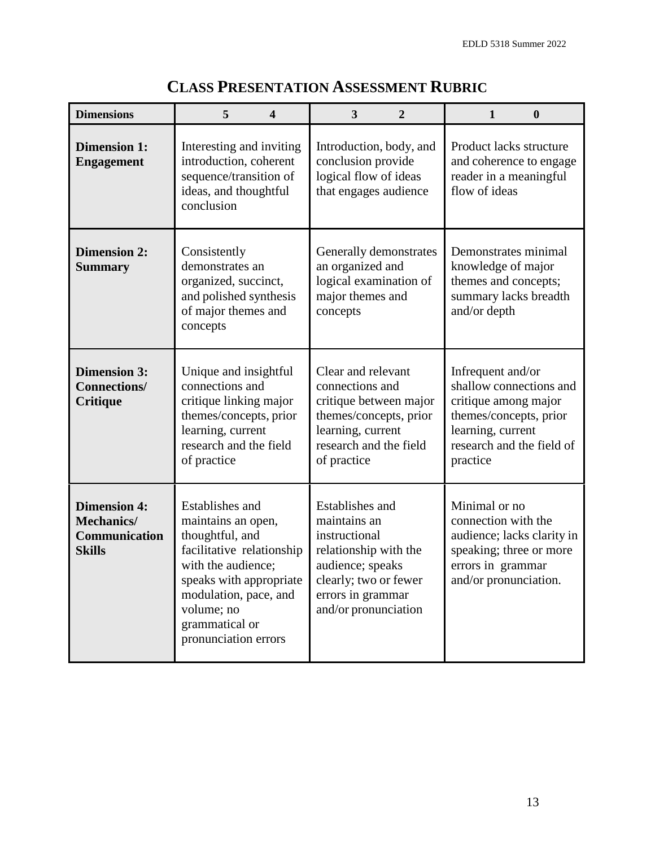| <b>Dimensions</b>                                                                 | 5<br>4                                                                                                                                                                                                                  | 3<br>$\overline{2}$                                                                                                                                                 | $\bf{0}$<br>1                                                                                                                                                |
|-----------------------------------------------------------------------------------|-------------------------------------------------------------------------------------------------------------------------------------------------------------------------------------------------------------------------|---------------------------------------------------------------------------------------------------------------------------------------------------------------------|--------------------------------------------------------------------------------------------------------------------------------------------------------------|
| <b>Dimension 1:</b><br><b>Engagement</b>                                          | Interesting and inviting<br>introduction, coherent<br>sequence/transition of<br>ideas, and thoughtful<br>conclusion                                                                                                     | Introduction, body, and<br>conclusion provide<br>logical flow of ideas<br>that engages audience                                                                     | Product lacks structure<br>and coherence to engage<br>reader in a meaningful<br>flow of ideas                                                                |
| <b>Dimension 2:</b><br><b>Summary</b>                                             | Consistently<br>demonstrates an<br>organized, succinct,<br>and polished synthesis<br>of major themes and<br>concepts                                                                                                    | Generally demonstrates<br>an organized and<br>logical examination of<br>major themes and<br>concepts                                                                | Demonstrates minimal<br>knowledge of major<br>themes and concepts;<br>summary lacks breadth<br>and/or depth                                                  |
| <b>Dimension 3:</b><br><b>Connections/</b><br><b>Critique</b>                     | Unique and insightful<br>connections and<br>critique linking major<br>themes/concepts, prior<br>learning, current<br>research and the field<br>of practice                                                              | Clear and relevant<br>connections and<br>critique between major<br>themes/concepts, prior<br>learning, current<br>research and the field<br>of practice             | Infrequent and/or<br>shallow connections and<br>critique among major<br>themes/concepts, prior<br>learning, current<br>research and the field of<br>practice |
| <b>Dimension 4:</b><br><b>Mechanics/</b><br><b>Communication</b><br><b>Skills</b> | Establishes and<br>maintains an open,<br>thoughtful, and<br>facilitative relationship<br>with the audience;<br>speaks with appropriate<br>modulation, pace, and<br>volume; no<br>grammatical or<br>pronunciation errors | Establishes and<br>maintains an<br>instructional<br>relationship with the<br>audience; speaks<br>clearly; two or fewer<br>errors in grammar<br>and/or pronunciation | Minimal or no<br>connection with the<br>audience; lacks clarity in<br>speaking; three or more<br>errors in grammar<br>and/or pronunciation.                  |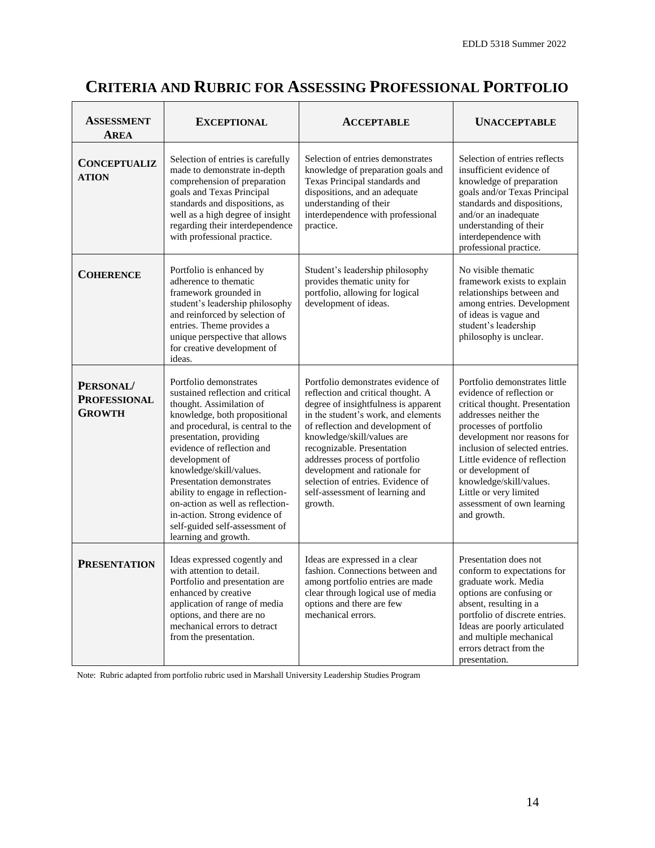# **CRITERIA AND RUBRIC FOR ASSESSING PROFESSIONAL PORTFOLIO**

| <b>ASSESSMENT</b><br>AREA                  | <b>EXCEPTIONAL</b>                                                                                                                                                                                                                                                                                                                                                                                                                                                  | <b>ACCEPTABLE</b>                                                                                                                                                                                                                                                                                                                                                                                             | <b>UNACCEPTABLE</b>                                                                                                                                                                                                                                                                                                                                                      |
|--------------------------------------------|---------------------------------------------------------------------------------------------------------------------------------------------------------------------------------------------------------------------------------------------------------------------------------------------------------------------------------------------------------------------------------------------------------------------------------------------------------------------|---------------------------------------------------------------------------------------------------------------------------------------------------------------------------------------------------------------------------------------------------------------------------------------------------------------------------------------------------------------------------------------------------------------|--------------------------------------------------------------------------------------------------------------------------------------------------------------------------------------------------------------------------------------------------------------------------------------------------------------------------------------------------------------------------|
| <b>CONCEPTUALIZ</b><br><b>ATION</b>        | Selection of entries is carefully<br>made to demonstrate in-depth<br>comprehension of preparation<br>goals and Texas Principal<br>standards and dispositions, as<br>well as a high degree of insight<br>regarding their interdependence<br>with professional practice.                                                                                                                                                                                              | Selection of entries demonstrates<br>knowledge of preparation goals and<br>Texas Principal standards and<br>dispositions, and an adequate<br>understanding of their<br>interdependence with professional<br>practice.                                                                                                                                                                                         | Selection of entries reflects<br>insufficient evidence of<br>knowledge of preparation<br>goals and/or Texas Principal<br>standards and dispositions,<br>and/or an inadequate<br>understanding of their<br>interdependence with<br>professional practice.                                                                                                                 |
| <b>COHERENCE</b>                           | Portfolio is enhanced by<br>adherence to thematic<br>framework grounded in<br>student's leadership philosophy<br>and reinforced by selection of<br>entries. Theme provides a<br>unique perspective that allows<br>for creative development of<br>ideas.                                                                                                                                                                                                             | Student's leadership philosophy<br>provides thematic unity for<br>portfolio, allowing for logical<br>development of ideas.                                                                                                                                                                                                                                                                                    | No visible thematic<br>framework exists to explain<br>relationships between and<br>among entries. Development<br>of ideas is vague and<br>student's leadership<br>philosophy is unclear.                                                                                                                                                                                 |
| PERSONAL/<br><b>PROFESSIONAL</b><br>GROWTH | Portfolio demonstrates<br>sustained reflection and critical<br>thought. Assimilation of<br>knowledge, both propositional<br>and procedural, is central to the<br>presentation, providing<br>evidence of reflection and<br>development of<br>knowledge/skill/values.<br>Presentation demonstrates<br>ability to engage in reflection-<br>on-action as well as reflection-<br>in-action. Strong evidence of<br>self-guided self-assessment of<br>learning and growth. | Portfolio demonstrates evidence of<br>reflection and critical thought. A<br>degree of insightfulness is apparent<br>in the student's work, and elements<br>of reflection and development of<br>knowledge/skill/values are<br>recognizable. Presentation<br>addresses process of portfolio<br>development and rationale for<br>selection of entries. Evidence of<br>self-assessment of learning and<br>growth. | Portfolio demonstrates little<br>evidence of reflection or<br>critical thought. Presentation<br>addresses neither the<br>processes of portfolio<br>development nor reasons for<br>inclusion of selected entries.<br>Little evidence of reflection<br>or development of<br>knowledge/skill/values.<br>Little or very limited<br>assessment of own learning<br>and growth. |
| <b>PRESENTATION</b>                        | Ideas expressed cogently and<br>with attention to detail.<br>Portfolio and presentation are<br>enhanced by creative<br>application of range of media<br>options, and there are no<br>mechanical errors to detract<br>from the presentation.                                                                                                                                                                                                                         | Ideas are expressed in a clear<br>fashion. Connections between and<br>among portfolio entries are made<br>clear through logical use of media<br>options and there are few<br>mechanical errors.                                                                                                                                                                                                               | Presentation does not<br>conform to expectations for<br>graduate work. Media<br>options are confusing or<br>absent, resulting in a<br>portfolio of discrete entries.<br>Ideas are poorly articulated<br>and multiple mechanical<br>errors detract from the<br>presentation.                                                                                              |

Note: Rubric adapted from portfolio rubric used in Marshall University Leadership Studies Program